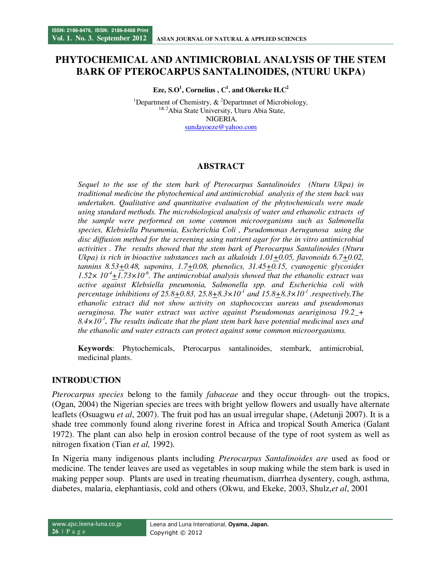# **PHYTOCHEMICAL AND ANTIMICROBIAL ANALYSIS OF THE STEM BARK OF PTEROCARPUS SANTALINOIDES, (NTURU UKPA)**

**Eze, S.O<sup>1</sup> , Cornelius , C<sup>1</sup> . and Okereke H.C<sup>2</sup>**

<sup>1</sup>Department of Chemistry,  $\&$  <sup>2</sup>Departmnet of Microbiology, <sup>1& 2</sup>Abia State University, Uturu Abia State, NIGERIA. sundayoeze@yahoo.com

## **ABSTRACT**

*Sequel to the use of the stem bark of Pterocarpus Santalinoides (Nturu Ukpa) in traditional medicine the phytochemical and antimicrobial analysis of the stem back was undertaken. Qualitative and quantitative evaluation of the phytochemicals were made using standard methods. The microbiological analysis of water and ethanolic extracts of the sample were performed on some common microorganisms such as Salmonella species, Klebsiella Pneumonia, Escherichia Coli , Pseudomonas Aerugunosa using the disc diffusion method for the screening using nutrient agar for the in vitro antimicrobial activities . The results showed that the stem bark of Pterocarpus Santalinoides (Nturu Ukpa) is rich in bioactive substances such as alkaloids 1.01+0.05, flavonoids 6.7+0.02, tannins 8.53+0.48, saponins, 1.7+0.08, phenolics, 31.45+0.15, cyanogenic glycosides*   $1.52 \times 10^4$ +1.73×10<sup> $6$ </sup>. The antimicrobial analysis showed that the ethanolic extract was *active against Klebsiella pneumonia, Salmonella spp. and Escherichia coli with percentage inhibitions of 25.8+0.83, 25.8+8.3×10-1 and 15.8+8.3×10-1 .respectively.The ethanolic extract did not show activity on staphococcus aureus and pseudomonas aeruginosa. The water extract was active against Pseudomonas aeuriginosa 19.2\_+ 8.4×10-1 . The results indicate that the plant stem bark have potential medicinal uses and the ethanolic and water extracts can protect against some common microorganisms.* 

**Keywords**: Phytochemicals, Pterocarpus santalinoides, stembark, antimicrobial, medicinal plants.

## **INTRODUCTION**

*Pterocarpus species* belong to the family *fabaceae* and they occur through- out the tropics, (Ogan, 2004) the Nigerian species are trees with bright yellow flowers and usually have alternate leaflets (Osuagwu *et al*, 2007). The fruit pod has an usual irregular shape, (Adetunji 2007). It is a shade tree commonly found along riverine forest in Africa and tropical South America (Galant 1972). The plant can also help in erosion control because of the type of root system as well as nitrogen fixation (Tian *et al,* 1992).

In Nigeria many indigenous plants including *Pterocarpus Santalinoides are* used as food or medicine. The tender leaves are used as vegetables in soup making while the stem bark is used in making pepper soup. Plants are used in treating rheumatism, diarrhea dysentery, cough, asthma, diabetes, malaria, elephantiasis, cold and others (Okwu, and Ekeke, 2003, Shulz,*et al*, 2001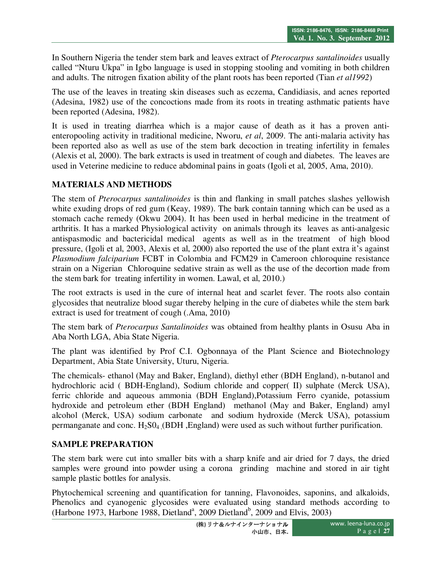In Southern Nigeria the tender stem bark and leaves extract of *Pterocarpus santalinoides* usually called "Nturu Ukpa" in Igbo language is used in stopping stooling and vomiting in both children and adults. The nitrogen fixation ability of the plant roots has been reported (Tian *et al1992*)

The use of the leaves in treating skin diseases such as eczema, Candidiasis, and acnes reported (Adesina, 1982) use of the concoctions made from its roots in treating asthmatic patients have been reported (Adesina, 1982).

It is used in treating diarrhea which is a major cause of death as it has a proven antienteropooling activity in traditional medicine, Nworu, *et al*, 2009. The anti-malaria activity has been reported also as well as use of the stem bark decoction in treating infertility in females (Alexis et al, 2000). The bark extracts is used in treatment of cough and diabetes. The leaves are used in Veterine medicine to reduce abdominal pains in goats (Igoli et al, 2005, Ama, 2010).

## **MATERIALS AND METHODS**

The stem of *Pterocarpus santalinoides* is thin and flanking in small patches slashes yellowish white exuding drops of red gum (Keay, 1989). The bark contain tanning which can be used as a stomach cache remedy (Okwu 2004). It has been used in herbal medicine in the treatment of arthritis. It has a marked Physiological activity on animals through its leaves as anti-analgesic antispasmodic and bactericidal medical agents as well as in the treatment of high blood pressure, (Igoli et al, 2003, Alexis et al, 2000) also reported the use of the plant extra it's against *Plasmodium falciparium* FCBT in Colombia and FCM29 in Cameroon chloroquine resistance strain on a Nigerian Chloroquine sedative strain as well as the use of the decortion made from the stem bark for treating infertility in women. Lawal, et al, 2010.)

The root extracts is used in the cure of internal heat and scarlet fever. The roots also contain glycosides that neutralize blood sugar thereby helping in the cure of diabetes while the stem bark extract is used for treatment of cough (.Ama, 2010)

The stem bark of *Pterocarpus Santalinoides* was obtained from healthy plants in Osusu Aba in Aba North LGA, Abia State Nigeria.

The plant was identified by Prof C.I. Ogbonnaya of the Plant Science and Biotechnology Department, Abia State University, Uturu, Nigeria.

The chemicals- ethanol (May and Baker, England), diethyl ether (BDH England), n-butanol and hydrochloric acid ( BDH-England), Sodium chloride and copper( II) sulphate (Merck USA), ferric chloride and aqueous ammonia (BDH England),Potassium Ferro cyanide, potassium hydroxide and petroleum ether (BDH England) methanol (May and Baker, England) amyl alcohol (Merck, USA) sodium carbonate and sodium hydroxide (Merck USA), potassium permanganate and conc.  $H_2SO_4$  (BDH, England) were used as such without further purification.

#### **SAMPLE PREPARATION**

The stem bark were cut into smaller bits with a sharp knife and air dried for 7 days, the dried samples were ground into powder using a corona grinding machine and stored in air tight sample plastic bottles for analysis.

Phytochemical screening and quantification for tanning, Flavonoides, saponins, and alkaloids, Phenolics and cyanogenic glycosides were evaluated using standard methods according to (Harbone 1973, Harbone 1988, Dietland<sup>a</sup>, 2009 Dietland<sup>b</sup>, 2009 and Elvis, 2003)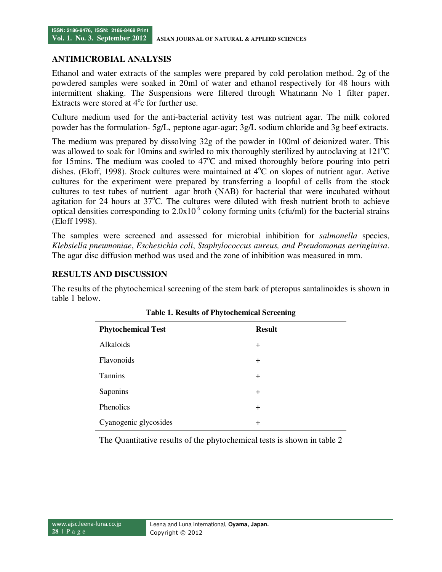### **ANTIMICROBIAL ANALYSIS**

Ethanol and water extracts of the samples were prepared by cold perolation method. 2g of the powdered samples were soaked in 20ml of water and ethanol respectively for 48 hours with intermittent shaking. The Suspensions were filtered through Whatmann No 1 filter paper. Extracts were stored at  $4^{\circ}$ c for further use.

Culture medium used for the anti-bacterial activity test was nutrient agar. The milk colored powder has the formulation- 5g/L, peptone agar-agar; 3g/L sodium chloride and 3g beef extracts.

The medium was prepared by dissolving 32g of the powder in 100ml of deionized water. This was allowed to soak for 10mins and swirled to mix thoroughly sterilized by autoclaving at  $121^{\circ}$ C for 15mins. The medium was cooled to  $47^{\circ}$ C and mixed thoroughly before pouring into petri dishes. (Eloff, 1998). Stock cultures were maintained at  $4^{\circ}$ C on slopes of nutrient agar. Active cultures for the experiment were prepared by transferring a loopful of cells from the stock cultures to test tubes of nutrient agar broth (NAB) for bacterial that were incubated without agitation for 24 hours at  $37^{\circ}$ C. The cultures were diluted with fresh nutrient broth to achieve optical densities corresponding to  $2.0x10<sup>6</sup>$  colony forming units (cfu/ml) for the bacterial strains (Eloff 1998).

The samples were screened and assessed for microbial inhibition for *salmonella* species, *Klebsiella pneumoniae*, *Eschesichia coli*, *Staphylococcus aureus, and Pseudomonas aeringinisa*. The agar disc diffusion method was used and the zone of inhibition was measured in mm.

## **RESULTS AND DISCUSSION**

The results of the phytochemical screening of the stem bark of pteropus santalinoides is shown in table 1 below.

| <b>Phytochemical Test</b> | <b>Result</b> |
|---------------------------|---------------|
| Alkaloids                 | $^{+}$        |
| <b>Flavonoids</b>         | $^{+}$        |
| Tannins                   | $^{+}$        |
| Saponins                  | $^{+}$        |
| Phenolics                 | $^{+}$        |
| Cyanogenic glycosides     | $^{+}$        |

The Quantitative results of the phytochemical tests is shown in table 2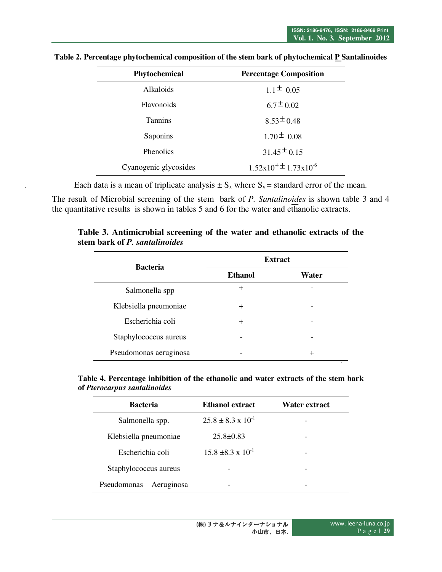| Phytochemical         | <b>Percentage Composition</b>                 |  |
|-----------------------|-----------------------------------------------|--|
| <b>Alkaloids</b>      | $1.1 \pm 0.05$                                |  |
| <b>Flavonoids</b>     | $6.7 \pm 0.02$                                |  |
| <b>Tannins</b>        | $8.53 \pm 0.48$                               |  |
| Saponins              | $1.70 \pm 0.08$                               |  |
| <b>Phenolics</b>      | $31.45 \pm 0.15$                              |  |
| Cyanogenic glycosides | $1.52 \times 10^{-4} \pm 1.73 \times 10^{-6}$ |  |

**Table 2. Percentage phytochemical composition of the stem bark of phytochemical P Santalinoides** 

Each data is a mean of triplicate analysis  $\pm S_x$  where  $S_x$  = standard error of the mean.

The result of Microbial screening of the stem bark of *P. Santalinoides* is shown table 3 and 4 the quantitative results is shown in tables 5 and 6 for the water and ethanolic extracts.

| <b>Bacteria</b>        | <b>Extract</b> |       |  |
|------------------------|----------------|-------|--|
|                        | <b>Ethanol</b> | Water |  |
| Salmonella spp         | $\pm$          |       |  |
| Klebsiella pneumoniae  | $\pm$          |       |  |
| Escherichia coli       | $\pm$          |       |  |
| Staphylococcus aureus  |                |       |  |
| Pseudomonas aeruginosa |                | +     |  |

**Table 3. Antimicrobial screening of the water and ethanolic extracts of the stem bark of** *P. santalinoides*

**Table 4. Percentage inhibition of the ethanolic and water extracts of the stem bark of** *Pterocarpus santalinoides* 

| <b>Bacteria</b>           | <b>Ethanol extract</b>        | Water extract |
|---------------------------|-------------------------------|---------------|
| Salmonella spp.           | $25.8 \pm 8.3 \times 10^{-1}$ |               |
| Klebsiella pneumoniae     | $25.8 \pm 0.83$               |               |
| Escherichia coli          | $15.8 \pm 8.3 \times 10^{-1}$ |               |
| Staphylococcus aureus     |                               |               |
| Aeruginosa<br>Pseudomonas |                               |               |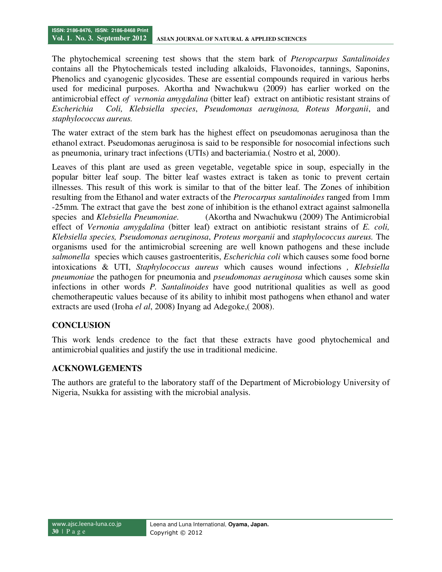The phytochemical screening test shows that the stem bark of *Pteropcarpus Santalinoides* contains all the Phytochemicals tested including alkaloids, Flavonoides, tannings, Saponins, Phenolics and cyanogenic glycosides. These are essential compounds required in various herbs used for medicinal purposes. Akortha and Nwachukwu (2009) has earlier worked on the antimicrobial effect *of vernonia amygdalina* (bitter leaf) extract on antibiotic resistant strains of *Escherichia Coli, Klebsiella species*, *Pseudomonas aeruginosa, Roteus Morganii*, and *staphylococcus aureus.* 

The water extract of the stem bark has the highest effect on pseudomonas aeruginosa than the ethanol extract. Pseudomonas aeruginosa is said to be responsible for nosocomial infections such as pneumonia, urinary tract infections (UTIs) and bacteriamia.( Nostro et al, 2000).

Leaves of this plant are used as green vegetable, vegetable spice in soup, especially in the popular bitter leaf soup. The bitter leaf wastes extract is taken as tonic to prevent certain illnesses. This result of this work is similar to that of the bitter leaf. The Zones of inhibition resulting from the Ethanol and water extracts of the *Pterocarpus santalinoides* ranged from 1mm -25mm. The extract that gave the best zone of inhibition is the ethanol extract against salmonella species and *Klebsiella Pneumoniae.* (Akortha and Nwachukwu (2009) The Antimicrobial effect of *Vernonia amygdalina* (bitter leaf) extract on antibiotic resistant strains of *E. coli, Klebsiella species, Pseudomonas aeruginosa*, *Proteus morganii* and *staphylococcus aureus.* The organisms used for the antimicrobial screening are well known pathogens and these include *salmonella* species which causes gastroenteritis, *Escherichia coli* which causes some food borne intoxications & UTI, *Staphylococcus aureus* which causes wound infections *, Klebsiella pneumoniae* the pathogen for pneumonia and *pseudomonas aeruginosa* which causes some skin infections in other words *P. Santalinoides* have good nutritional qualities as well as good chemotherapeutic values because of its ability to inhibit most pathogens when ethanol and water extracts are used (Iroha *el al*, 2008) Inyang ad Adegoke,( 2008).

## **CONCLUSION**

This work lends credence to the fact that these extracts have good phytochemical and antimicrobial qualities and justify the use in traditional medicine.

## **ACKNOWLGEMENTS**

The authors are grateful to the laboratory staff of the Department of Microbiology University of Nigeria, Nsukka for assisting with the microbial analysis.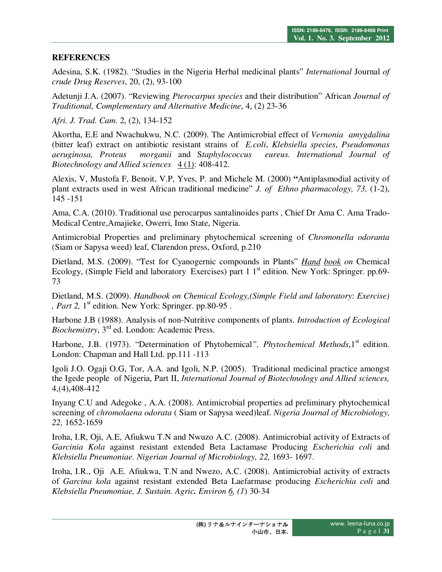## **REFERENCES**

Adesina, S.K. (1982). "Studies in the Nigeria Herbal medicinal plants" *International* Journal *of crude Drug Reserves*, 20, (2), 93-100

Adetunji J.A. (2007). "Reviewing *Pterocarpus species* and their distribution" African *Journal of Traditional, Complementary and Alternative Medicine*, 4, (2) 23-36

*Afri. J. Trad. Cam*. 2, (2), 134-152

Akortha, E.E and Nwachukwu, N.C. (2009). The Antimicrobial effect of *Vernonia amygdalina* (bitter leaf) extract on antibiotic resistant strains of *E.coli*, *Klebsiella species*, *Pseudomonas aeruginosa, Proteus morganii* and S*taphylococcus eureus. International Journal of Biotechnology and Allied sciences* 4(1): 408-412.

Alexis, V, Mustofa F, Benoit, V.P, Yves, P. and Michele M. (2000) **"**Antiplasmodial activity of plant extracts used in west African traditional medicine" *J. of Ethno pharmacology, 73,* (1-2), 145 -151

Ama, C.A. (2010). Traditional use perocarpus santalinoides parts , Chief Dr Ama C. Ama Trado-Medical Centre,Amajieke, Owerri, Imo State, Nigeria.

Antimicrobial Properties and preliminary phytochemical screening of *Chromonella odoranta* (Siam or Sapysa weed) leaf, Clarendon press, Oxford, p.210

Dietland, M.S. (2009). "Test for Cyanogernic compounds in Plants" *Hand book on* Chemical Ecology, (Simple Field and laboratory Exercises) part  $1 \, 1^{\text{st}}$  edition. New York: Springer. pp.69-73

Dietland, M.S. (2009). *Handbook on Chemical Ecology,(Simple Field and laboratory*: *Exercise) , Part 2,*  $1<sup>st</sup>$  edition. New York: Springer. pp.80-95.

Harbone J.B (1988). Analysis of non-Nutritive components of plants. *Introduction of Ecological Biochemistry*, 3rd ed. London: Academic Press.

Harbone, J.B. (1973). "Determination of Phytohemical", *Phytochemical Methods*, 1<sup>st</sup> edition. London: Chapman and Hall Ltd. pp.111 -113

Igoli J.O. Ogaji O.G, Tor, A.A. and Igoli, N.P. (2005). Traditional medicinal practice amongst the Igede people of Nigeria, Part II, *International Journal of Biotechnology and Allied sciences,*  4,(4),408-412

Inyang C.U and Adegoke , A.A. (2008). Antimicrobial properties ad preliminary phytochemical screening of *chromolaena odorata* ( Siam or Sapysa weed)leaf. *Nigeria Journal of Microbiology, 22,* 1652-1659

Iroha, I.R, Oji, A.E, Afiukwu T.N and Nwuzo A.C. (2008). Antimicrobial activity of Extracts of *Garcinia Kola* against resistant extended Beta Lactamase Producing *Escherichia coli* and *Klebsiella Pneumoniae*. *Nigerian Journal of Microbiology, 22,* 1693- 1697.

Iroha, I.R., Oji A.E. Afiukwa, T.N and Nwezo, A.C. (2008). Antimicrobial activity of extracts of *Garcina kola* against resistant extended Beta Laefarmase producing *Escherichia coli* and *Klebsiella Pneumoniae, J. Sustain. Agric. Environ 6, (1*) 30-34